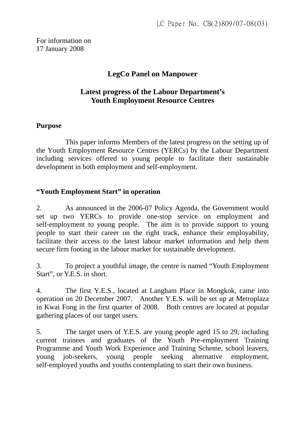For information on 17 January 2008

# **LegCo Panel on Manpower**

## **Latest progress of the Labour Department's Youth Employment Resource Centres**

#### **Purpose**

 This paper informs Members of the latest progress on the setting up of the Youth Employment Resource Centres (YERCs) by the Labour Department including services offered to young people to facilitate their sustainable development in both employment and self-employment.

## **"Youth Employment Start" in operation**

2. As announced in the 2006-07 Policy Agenda, the Government would set up two YERCs to provide one-stop service on employment and self-employment to young people. The aim is to provide support to young people to start their career on the right track, enhance their employability, facilitate their access to the latest labour market information and help them secure firm footing in the labour market for sustainable development.

3. To project a youthful image, the centre is named "Youth Employment Start", or Y.E.S. in short.

4. The first Y.E.S., located at Langham Place in Mongkok, came into operation on 20 December 2007. Another Y.E.S. will be set up at Metroplaza in Kwai Fong in the first quarter of 2008. Both centres are located at popular gathering places of our target users.

5. The target users of Y.E.S. are young people aged 15 to 29, including current trainees and graduates of the Youth Pre-employment Training Programme and Youth Work Experience and Training Scheme, school leavers, young job-seekers, young people seeking alternative employment, self-employed youths and youths contemplating to start their own business.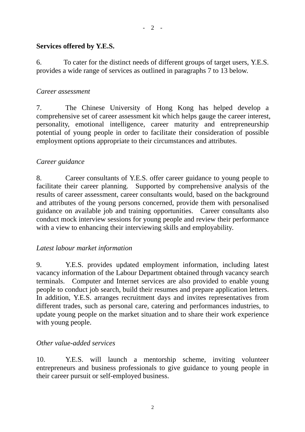#### **Services offered by Y.E.S.**

6. To cater for the distinct needs of different groups of target users, Y.E.S. provides a wide range of services as outlined in paragraphs 7 to 13 below.

#### *Career assessment*

7. The Chinese University of Hong Kong has helped develop a comprehensive set of career assessment kit which helps gauge the career interest, personality, emotional intelligence, career maturity and entrepreneurship potential of young people in order to facilitate their consideration of possible employment options appropriate to their circumstances and attributes.

## *Career guidance*

8. Career consultants of Y.E.S. offer career guidance to young people to facilitate their career planning. Supported by comprehensive analysis of the results of career assessment, career consultants would, based on the background and attributes of the young persons concerned, provide them with personalised guidance on available job and training opportunities. Career consultants also conduct mock interview sessions for young people and review their performance with a view to enhancing their interviewing skills and employability.

#### *Latest labour market information*

9. Y.E.S. provides updated employment information, including latest vacancy information of the Labour Department obtained through vacancy search terminals. Computer and Internet services are also provided to enable young people to conduct job search, build their resumes and prepare application letters. In addition, Y.E.S. arranges recruitment days and invites representatives from different trades, such as personal care, catering and performances industries, to update young people on the market situation and to share their work experience with young people.

## *Other value-added services*

10. Y.E.S. will launch a mentorship scheme, inviting volunteer entrepreneurs and business professionals to give guidance to young people in their career pursuit or self-employed business.